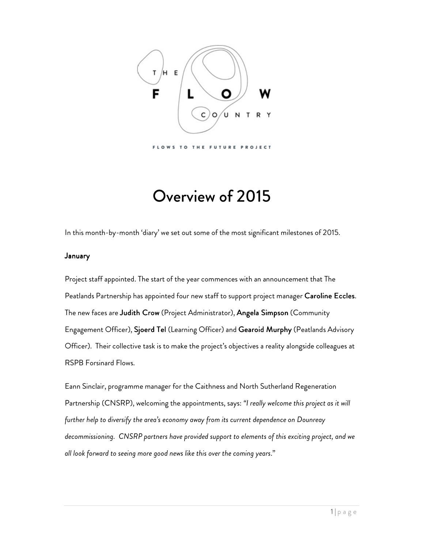

# Overview of 2015

In this month-by-month 'diary' we set out some of the most significant milestones of 2015.

## **January**

Project staff appointed. The start of the year commences with an announcement that The Peatlands Partnership has appointed four new staff to support project manager Caroline Eccles. The new faces are Judith Crow (Project Administrator), Angela Simpson (Community Engagement Officer), Sjoerd Tel (Learning Officer) and Gearoid Murphy (Peatlands Advisory Officer). Their collective task is to make the project's objectives a reality alongside colleagues at RSPB Forsinard Flows.

Eann Sinclair, programme manager for the Caithness and North Sutherland Regeneration Partnership (CNSRP), welcoming the appointments, says: *"I really welcome this project as it will further help to diversify the area's economy away from its current dependence on Dounreay decommissioning. CNSRP partners have provided support to elements of this exciting project, and we all look forward to seeing more good news like this over the coming years*."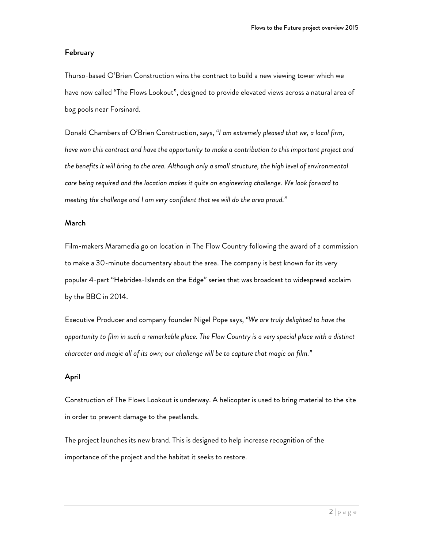## February

Thurso-based O'Brien Construction wins the contract to build a new viewing tower which we have now called "The Flows Lookout", designed to provide elevated views across a natural area of bog pools near Forsinard.

Donald Chambers of O'Brien Construction, says, *"I am extremely pleased that we, a local firm, have won this contract and have the opportunity to make a contribution to this important project and the benefits it will bring to the area. Although only a small structure, the high level of environmental care being required and the location makes it quite an engineering challenge. We look forward to meeting the challenge and I am very confident that we will do the area proud."* 

## March

Film-makers Maramedia go on location in The Flow Country following the award of a commission to make a 30-minute documentary about the area. The company is best known for its very popular 4-part "Hebrides-Islands on the Edge" series that was broadcast to widespread acclaim by the BBC in 2014.

Executive Producer and company founder Nigel Pope says, *"We are truly delighted to have the opportunity to film in such a remarkable place. The Flow Country is a very special place with a distinct character and magic all of its own; our challenge will be to capture that magic on film."* 

## April

Construction of The Flows Lookout is underway. A helicopter is used to bring material to the site in order to prevent damage to the peatlands.

The project launches its new brand. This is designed to help increase recognition of the importance of the project and the habitat it seeks to restore.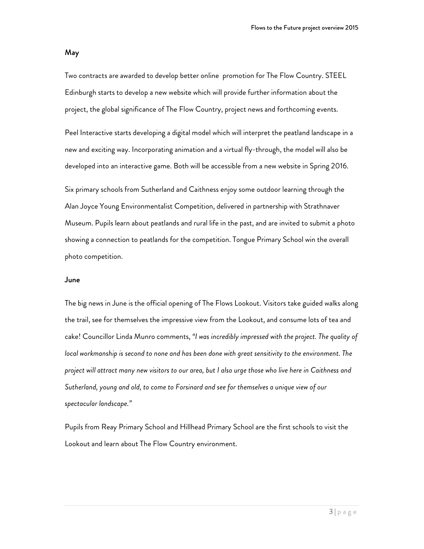#### May

Two contracts are awarded to develop better online promotion for The Flow Country. STEEL Edinburgh starts to develop a new website which will provide further information about the project, the global significance of The Flow Country, project news and forthcoming events.

Peel Interactive starts developing a digital model which will interpret the peatland landscape in a new and exciting way. Incorporating animation and a virtual fly-through, the model will also be developed into an interactive game. Both will be accessible from a new website in Spring 2016.

Six primary schools from Sutherland and Caithness enjoy some outdoor learning through the Alan Joyce Young Environmentalist Competition, delivered in partnership with Strathnaver Museum. Pupils learn about peatlands and rural life in the past, and are invited to submit a photo showing a connection to peatlands for the competition. Tongue Primary School win the overall photo competition.

## June

The big news in June is the official opening of The Flows Lookout. Visitors take guided walks along the trail, see for themselves the impressive view from the Lookout, and consume lots of tea and cake! Councillor Linda Munro comments, *"I was incredibly impressed with the project. The quality of local workmanship is second to none and has been done with great sensitivity to the environment. The project will attract many new visitors to our area, but I also urge those who live here in Caithness and Sutherland, young and old, to come to Forsinard and see for themselves a unique view of our spectacular landscape."* 

Pupils from Reay Primary School and Hillhead Primary School are the first schools to visit the Lookout and learn about The Flow Country environment.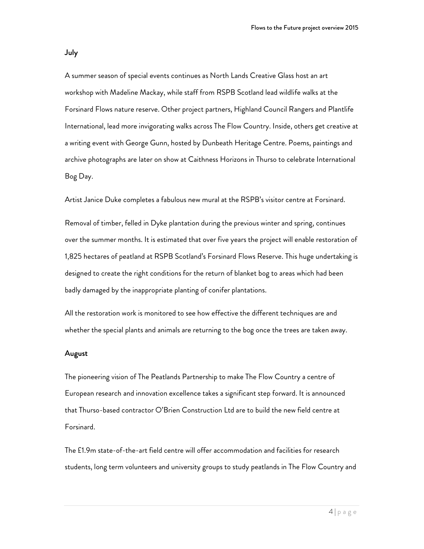July

A summer season of special events continues as North Lands Creative Glass host an art workshop with Madeline Mackay, while staff from RSPB Scotland lead wildlife walks at the Forsinard Flows nature reserve. Other project partners, Highland Council Rangers and Plantlife International, lead more invigorating walks across The Flow Country. Inside, others get creative at a writing event with George Gunn, hosted by Dunbeath Heritage Centre. Poems, paintings and archive photographs are later on show at Caithness Horizons in Thurso to celebrate International Bog Day.

Artist Janice Duke completes a fabulous new mural at the RSPB's visitor centre at Forsinard.

Removal of timber, felled in Dyke plantation during the previous winter and spring, continues over the summer months. It is estimated that over five years the project will enable restoration of 1,825 hectares of peatland at RSPB Scotland's Forsinard Flows Reserve. This huge undertaking is designed to create the right conditions for the return of blanket bog to areas which had been badly damaged by the inappropriate planting of conifer plantations.

All the restoration work is monitored to see how effective the different techniques are and whether the special plants and animals are returning to the bog once the trees are taken away.

### August

The pioneering vision of The Peatlands Partnership to make The Flow Country a centre of European research and innovation excellence takes a significant step forward. It is announced that Thurso-based contractor O'Brien Construction Ltd are to build the new field centre at Forsinard.

The £1.9m state-of-the-art field centre will offer accommodation and facilities for research students, long term volunteers and university groups to study peatlands in The Flow Country and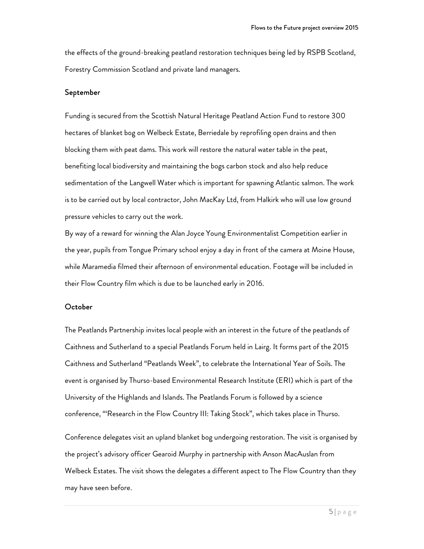the effects of the ground-breaking peatland restoration techniques being led by RSPB Scotland, Forestry Commission Scotland and private land managers.

## September

Funding is secured from the Scottish Natural Heritage Peatland Action Fund to restore 300 hectares of blanket bog on Welbeck Estate, Berriedale by reprofiling open drains and then blocking them with peat dams. This work will restore the natural water table in the peat, benefiting local biodiversity and maintaining the bogs carbon stock and also help reduce sedimentation of the Langwell Water which is important for spawning Atlantic salmon. The work is to be carried out by local contractor, John MacKay Ltd, from Halkirk who will use low ground pressure vehicles to carry out the work.

By way of a reward for winning the Alan Joyce Young Environmentalist Competition earlier in the year, pupils from Tongue Primary school enjoy a day in front of the camera at Moine House, while Maramedia filmed their afternoon of environmental education. Footage will be included in their Flow Country film which is due to be launched early in 2016.

#### October

The Peatlands Partnership invites local people with an interest in the future of the peatlands of Caithness and Sutherland to a special Peatlands Forum held in Lairg. It forms part of the 2015 Caithness and Sutherland "Peatlands Week", to celebrate the International Year of Soils. The event is organised by Thurso-based Environmental Research Institute (ERI) which is part of the University of the Highlands and Islands. The Peatlands Forum is followed by a science conference, "'Research in the Flow Country III: Taking Stock", which takes place in Thurso.

Conference delegates visit an upland blanket bog undergoing restoration. The visit is organised by the project's advisory officer Gearoid Murphy in partnership with Anson MacAuslan from Welbeck Estates. The visit shows the delegates a different aspect to The Flow Country than they may have seen before.